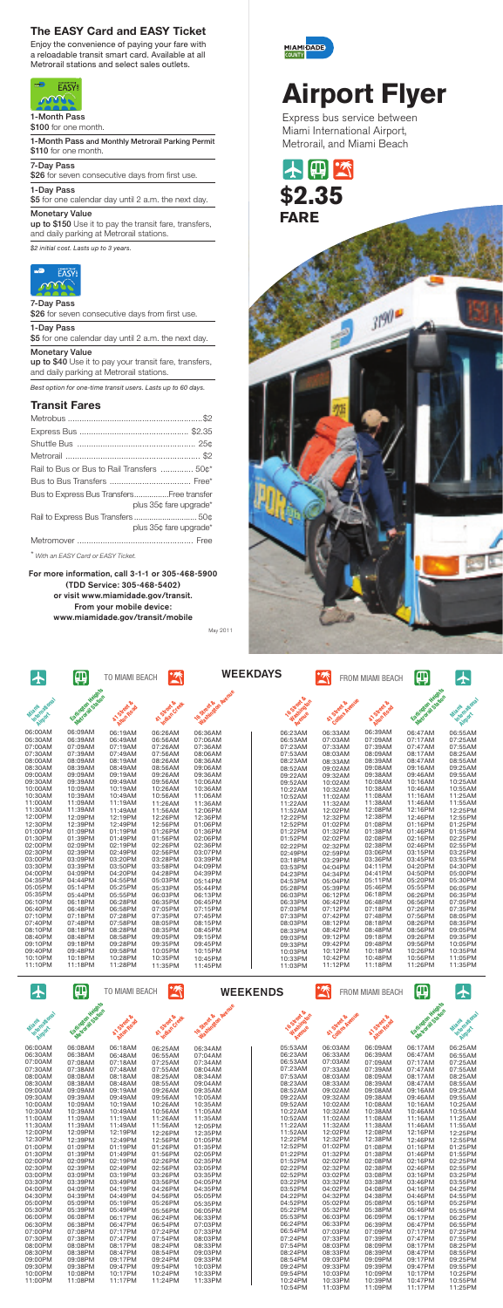十曲至 \$**2.35 FARE**



# **Airport Flyer**

Express bus service between Miami International Airport, Metrorail, and Miami Beach

| $\bigstar$                       | 佃                                     | <b>TO MIAMI BEACH</b>              | $\tilde{\mathbb{Z}}$        |                                             | <b>WEEKDAYS</b>                      | $\tilde{\mathbb{Z}}$          | <b>FROM MIAMI BEACH</b> | Щ                                     | $\bigstar$                        |
|----------------------------------|---------------------------------------|------------------------------------|-----------------------------|---------------------------------------------|--------------------------------------|-------------------------------|-------------------------|---------------------------------------|-----------------------------------|
|                                  |                                       |                                    |                             |                                             |                                      |                               |                         |                                       |                                   |
| International<br>Miami<br>Ringer | Eatington Haights<br>Metroral Station | Street &<br><b>Alton Road</b><br>R | AT-Street &<br>Indian Creek | Washington Avenue<br><b>16 Street &amp;</b> | 16 Street &<br>Washington<br>Avenue  | Collins Avenue<br>AT Street & | A Street Road           | Earlington Magnus<br>Metodole Station | International<br>Miami<br>Airport |
| 06:00AM                          | 06:09AM                               | 06:19AM                            | 06:26AM                     | 06:36AM                                     | 06:23AM                              | 06:33AM                       | 06:39AM                 | 06:47AM                               | 06:55AM                           |
| 06:30AM                          | 06:39AM                               | 06:49AM                            | 06:56AM                     | 07:06AM                                     | 06:53AM                              | 07:03AM                       | 07:09AM                 | 07:17AM                               | 07:25AM                           |
| 07:00AM                          | 07:09AM                               | 07:19AM                            | 07:26AM                     | 07:36AM                                     | 07:23AM                              | 07:33AM                       | 07:39AM                 | 07:47AM                               | 07:55AM                           |
| 07:30AM                          | 07:39AM                               | 07:49AM                            | 07:56AM                     | 08:06AM                                     | 07:53AM                              | 08:03AM                       | 08:09AM                 | 08:17AM                               | 08:25AM                           |
| 08:00AM                          | 08:09AM                               | 08:19AM                            | 08:26AM                     | 08:36AM                                     | 08:23AM                              |                               | 08:39AM                 | 08:47AM                               | 08:55AM                           |
| 08:30AM                          | 08:39AM                               | 08:49AM                            | 08:56AM                     | 09:06AM                                     | 08:52AM                              | 08:33AM<br>09:02AM            | 09:08AM                 | 09:16AM                               | 09:25AM                           |
| 09:00AM                          | 09:09AM                               | 09:19AM                            | 09:26AM                     | 09:36AM                                     | 09:22AM                              | 09:32AM                       | 09:38AM                 | 09:46AM                               | 09:55AM                           |
| 09:30AM                          | 09:39AM                               | 09:49AM                            | 09:56AM                     | 10:06AM                                     | 09:52AM                              | 10:02AM                       | 10:08AM                 | 10:16AM                               | 10:25AM                           |
| 10:00AM                          | 10:09AM                               | 10:19AM                            | 10:26AM                     | 10:36AM                                     | 10:22AM                              | 10:32AM                       | 10:38AM                 | 10:46AM                               | 10:55AM                           |
| 10:30AM                          | 10:39AM                               | 10:49AM                            | 10:56AM                     | 11:06AM                                     | 10:52AM                              | 11:02AM                       | 11:08AM                 | 11:16AM                               | 11:25AM                           |
| 11:00AM                          | 11:09AM                               | 11:19AM                            | 11:26AM                     | 11:36AM                                     | 11:22AM                              | 11:32AM                       | 11:38AM                 | 11:46AM                               | 11:55AM                           |
| 11:30AM                          | 11:39AM                               | 11:49AM                            | 11:56AM                     | 12:06PM                                     | 11:52AM                              | 12:02PM                       | 12:08PM                 | 12:16PM                               | 12:25PM                           |
| 12:00PM                          | 12:09PM                               | 12:19PM                            | 12:26PM                     | 12:36PM                                     | 12:22PM                              | 12:32PM                       | 12:38PM                 | 12:46PM                               | 12:55PM                           |
| 12:30PM                          | 12:39PM                               | 12:49PM                            | 12:56PM                     | 01:06PM                                     | 12:52PM                              | 01:02PM                       | 01:08PM                 | 01:16PM                               | 01:25PM                           |
| 01:00PM                          | 01:09PM                               | 01:19PM                            | 01:26PM                     | 01:36PM                                     | 01:22PM                              | 01:32PM                       | 01:38PM                 | 01:46PM                               | 01:55PM                           |
| 01:30PM                          | 01:39PM                               | 01:49PM                            | 01:56PM                     | 02:06PM                                     | 01:52PM                              | 02:02PM                       | 02:08PM                 | 02:16PM                               | 02:25PM                           |
| 02:00PM                          | 02:09PM                               | 02:19PM                            | 02:26PM                     | 02:36PM                                     | 02:22PM                              |                               | 02:38PM                 | 02:46PM                               | 02:55PM                           |
| 02:30PM                          | 02:39PM                               | 02:49PM                            | 02:56PM                     | 03:07PM                                     | 02:49PM                              | 02:32PM<br>02:59PM            | 03:06PM                 | 03:15PM                               | 03:25PM                           |
| 03:00PM                          | 03:09PM                               | 03:20PM                            | 03:28PM                     | 03:39PM                                     | 03:18PM                              | 03:29PM                       | 03:36PM                 | 03:45PM                               | 03:55PM                           |
| 03:30PM                          | 03:39PM                               | 03:50PM                            | 03:58PM                     | 04:09PM                                     | 03:53PM                              | 04:04PM                       | 04:11PM                 | 04:20PM                               | 04:30PM                           |
| 04:00PM                          | 04:09PM                               | 04:20PM                            | 04:28PM                     | 04:39PM                                     | 04:23PM                              | 04:34PM                       | 04:41PM                 | 04:50PM                               | 05:00PM                           |
| 04:35PM                          | 04:44PM                               | 04:55PM                            | 05:03PM                     | 05:14PM                                     | 04:53PM                              | 05:04PM                       | 05:11PM                 | 05:20PM                               | 05:30PM                           |
| 05:05PM<br>05:35PM               | 05:14PM<br>05:44PM                    | 05:25PM<br>05:55PM                 | 05:33PM<br>06:03PM          | 05:44PM<br>06:13PM                          | 05:28PM                              | 05:39PM                       | 05:46PM<br>06:18PM      | 05:55PM<br>06:26PM                    | 06:05PM<br>06:35PM                |
| 06:10PM                          | 06:18PM                               | 06:28PM                            | 06:35PM                     | 06:45PM                                     | 06:03PM<br>06:33PM                   | 06:12PM<br>06:42PM            | 06:48PM                 | 06:56PM                               | 07:05PM                           |
| 06:40PM                          | 06:48PM                               | 06:58PM                            | 07:05PM                     | 07:15PM                                     | 07:03PM                              | 07:12PM                       | 07:18PM                 | 07:26PM                               | 07:35PM                           |
| 07:10PM                          | 07:18PM                               | 07:28PM                            | 07:35PM                     | 07:45PM                                     | 07:33PM                              | 07:42PM                       | 07:48PM                 | 07:56PM                               | 08:05PM                           |
| 07:40PM                          | 07:48PM                               | 07:58PM                            | 08:05PM                     | 08:15PM                                     | 08:03PM                              | 08:12PM                       | 08:18PM                 | 08:26PM                               | 08:35PM                           |
| 08:10PM                          | 08:18PM                               | 08:28PM                            | 08:35PM                     | 08:45PM                                     | 08:33PM                              | 08:42PM                       | 08:48PM                 | 08:56PM                               | 09:05PM                           |
| 08:40PM                          | 08:48PM                               | 08:58PM                            | 09:05PM                     | 09:15PM                                     | 09:03PM                              | 09:12PM                       | 09:18PM                 | 09:26PM                               | 09:35PM                           |
| 09:10PM                          | 09:18PM                               | 09:28PM                            | 09:35PM                     | 09:45PM                                     |                                      | 09:42PM                       | 09:48PM                 | 09:56PM                               | 10:05PM                           |
| 09:40PM                          | 09:48PM                               | 09:58PM                            | 10:05PM                     | 10:15PM                                     | 09:33PM<br>10:03PM                   | 10:12PM                       | 10:18PM                 | 10:26PM                               | 10:35PM                           |
| 10:10PM                          | 10:18PM                               | 10:28PM                            | 10:35PM                     | 10:45PM                                     | 10:33PM                              | 10:42PM                       | 10:48PM                 | 10:56PM                               | 11:05PM                           |
| 11:10PM                          | 11:18PM                               | 11:28PM                            | 11:35PM                     | 11:45PM                                     | 11:03PM                              | 11:12PM                       | 11:18PM                 | 11:26PM                               | 11:35PM                           |
|                                  |                                       |                                    |                             |                                             |                                      |                               |                         |                                       |                                   |
| $\bigstar$                       | 曲                                     | <b>TO MIAMI BEACH</b>              | $\tilde{\mathbb{Z}}$        |                                             | <b>WEEKENDS</b>                      | $\mathbb{Z}$                  | FROM MIAMI BEACH        | Щ                                     | $\bigstar$                        |
|                                  |                                       |                                    |                             |                                             |                                      |                               |                         |                                       |                                   |
|                                  |                                       |                                    |                             |                                             |                                      |                               |                         |                                       |                                   |
| International<br>Miami           | Eatington Heights                     | AT Street &                        | AT Street &                 | <b>16</b> Street &                          | <b>16 Street &amp;</b><br>Washington | AT-Street &                   | AT Street &             | Eatington Holding                     | International<br>Miami            |
| Airport                          | Metroral Station                      | Alton Road                         | Indian Creek                | Washington Avenue                           | Avenue                               | Collins Avenue                | Atton Road              | Metoral Station                       | Airport                           |
| 06:00AM                          | 06:08AM                               | 06:18AM                            | 06:25AM                     | 06:34AM                                     | 05:53AM                              | 06:03AM                       | 06:09AM                 | 06:17AM                               | 06:25AM                           |
| 06:30AM                          | 06:38AM                               | 06:48AM                            | 06:55AM                     | 07:04AM                                     | 06:23AM                              | 06:33AM                       | 06:39AM                 | 06:47AM                               | 06:55AM                           |
| 07:00AM                          | 07:08AM                               | 07:18AM                            | 07:25AM                     | 07:34AM                                     | 06:53AM                              | 07:03AM                       | 07:09AM                 | 07:17AM                               | 07:25AM                           |
| 07:30AM                          | 07:38AM                               | 07:48AM                            | 07:55AM                     | 08:04AM                                     | 07:23AM                              | 07:33AM                       | 07:39AM                 | 07:47AM                               | 07:55AM                           |
| 08:00AM                          | 08:08AM                               | 08:18AM                            | 08:25AM                     | 08:34AM                                     | 07:53AM                              | 08:03AM                       | 08:09AM                 | 08:17AM                               | 08:25AM                           |
| 08:30AM                          | 08:38AM                               | 08:48AM                            | 08:55AM                     | 09:04AM                                     | 08:23AM                              | 08:33AM                       | 08:39AM                 | 08:47AM                               | 08:55AM                           |
| 09:00AM                          | 09:09AM                               | 09:19AM                            | 09:26AM                     | 09:35AM                                     | 08:52AM                              | 09:02AM                       | 09:08AM                 | 09:16AM                               | 09:25AM                           |
| 09:30AM                          | 09:39AM                               | 09:49AM                            | 09:56AM                     | 10:05AM                                     | 09:22AM                              | 09:32AM                       | 09:38AM                 | 09:46AM                               | 09:55AM                           |
| 10:00AM                          | 10:09AM                               | 10:19AM                            | 10:26AM                     | 10:35AM                                     | 09:52AM                              | 10:02AM                       | 10:08AM                 | 10:16AM                               | 10:25AM                           |
| 10:30AM                          | 10:39AM                               | 10:49AM                            | 10:56AM                     | 11:05AM                                     | 10:22AM                              | 10:32AM                       | 10:38AM                 | 10:46AM                               | 10:55AM                           |
| 11:00AM<br>11:30AM               | 11:09AM                               | 11:19AM                            | 11:26AM<br>11:56AM          | 11:35AM                                     | 10:52AM                              | 11:02AM<br>11:32AM            | 11:08AM                 | 11:16AM                               | 11:25AM                           |
| 12:00PM                          | 11:39AM<br>12:09PM                    | 11:49AM<br>12:19PM                 | 12:26PM                     | 12:05PM<br>12:35PM                          | 11:22AM<br>11:52AM                   | 12:02PM                       | 11:38AM<br>12:08PM      | 11:46AM<br>12:16PM                    | 11:55AM<br>12:25PM                |
| 12:30PM                          | 12:39PM                               | 12:49PM                            | 12:56PM                     | 01:05PM                                     | 12:22PM                              | 12:32PM                       | 12:38PM                 | 12:46PM                               | 12:55PM                           |
| 01:00PM                          | 01:09PM                               | 01:19PM                            | 01:26PM                     | 01:35PM                                     | 12:52PM                              | 01:02PM                       | 01:08PM                 | 01:16PM                               | 01:25PM                           |
| 01:30PM                          | 01:39PM                               | 01:49PM                            | 01:56PM                     | 02:05PM                                     | 01:22PM                              | 01:32PM                       | 01:38PM                 | 01:46PM                               | 01:55PM                           |
| 02:00PM                          | 02:09PM                               | 02:19PM                            | 02:26PM                     | 02:35PM                                     | 01:52PM                              | 02:02PM                       | 02:08PM                 | 02:16PM                               | 02:25PM                           |
| 02:30PM                          | 02:39PM                               | 02:49PM                            | 02:56PM                     | 03:05PM                                     | 02:22PM                              | 02:32PM                       | 02:38PM                 | 02:46PM                               | 02:55PM                           |
| 03:00PM                          | 03:09PM                               | 03:19PM                            | 03:26PM                     | 03:35PM                                     | 02:52PM                              | 03:02PM                       | 03:08PM                 | 03:16PM                               | 03:25PM                           |
| 03:30PM                          | 03:39PM                               | 03:49PM                            | 03:56PM                     | 04:05PM                                     | 03:22PM                              | 03:32PM                       | 03:38PM                 | 03:46PM                               | 03:55PM                           |
| 04:00PM                          | 04:09PM                               | 04:19PM                            | 04:26PM                     | 04:35PM                                     | 03:52PM                              | 04:02PM                       | 04:08PM                 | 04:16PM                               | 04:25PM                           |
| 04:30PM                          | 04:39PM                               | 04:49PM                            | 04:56PM                     | 05:05PM                                     | 04:22PM                              | 04:32PM                       | 04:38PM                 | 04:46PM                               | 04:55PM                           |
| 05:00PM                          | 05:09PM                               | 05:19PM                            | 05:26PM                     | 05:35PM                                     | 04:52PM                              | 05:02PM                       | 05:08PM                 | 05:16PM                               | 05:25PM                           |
| 05:30PM                          | 05:39PM                               | 05:49PM                            | 05:56PM                     | 06:05PM                                     | 05:22PM                              | 05:32PM                       | 05:38PM                 | 05:46PM                               | 05:55PM                           |
| 06:00PM                          | 06:08PM                               | 06:17PM                            | 06:24PM                     | 06:33PM                                     | 05:53PM                              | 06:03PM                       | 06:09PM                 | 06:17PM                               | 06:25PM                           |
| 06:30PM                          | 06:38PM                               | 06:47PM                            | 06:54PM                     | 07:03PM                                     | 06:24PM                              | 06:33PM                       | 06:39PM                 | 06:47PM                               | 06:55PM                           |
| 07:00PM                          | 07:08PM                               | 07:17PM                            | 07:24PM                     | 07:33PM                                     | 06:54PM                              | 07:03PM                       | 07:09PM                 | 07:17PM                               | 07:25PM                           |
| 07:30PM                          | 07:38PM                               | 07:47PM                            | 07:54PM                     | 08:03PM                                     | 07:24PM                              | 07:33PM                       | 07:39PM                 | 07:47PM                               | 07:55PM                           |
| 08:00PM                          | 08:08PM                               | 08:17PM                            | 08:24PM                     | 08:33PM                                     | 07:54PM                              | 08:03PM                       | 08:09PM                 | 08:17PM                               | 08:25PM                           |
| 08:30PM                          | 08:38PM                               | 08:47PM                            | 08:54PM                     | 09:03PM                                     | 08:24PM                              | 08:33PM                       | 08:39PM                 | 08:47PM                               | 08:55PM                           |
| 09:00PM                          | 09:08PM                               | 09:17PM                            | 09:24PM                     | 09:33PM                                     | 08:54PM                              | 09:03PM                       | 09:09PM                 | 09:17PM                               | 09:25PM                           |
| 09:30PM                          | 09:38PM                               | 09:47PM                            | 09:54PM                     | 10:03PM                                     | 09:24PM                              | 09:33PM                       | 09:39PM                 | 09:47PM                               | 09:55PM                           |
| 10:00PM                          | 10:08PM                               | 10:17PM                            | 10:24PM                     | 10:33PM                                     | 09:54PM                              | 10:03PM                       | 10:09PM                 | 10:17PM                               | 10:25PM                           |

\$5 for one calendar day until 2 a.m. the next day. Monetary Value

up to \$150 Use it to pay the transit fare, transfers, and daily parking at Metrorail stations.

up to \$40 Use it to pay your transit fare, transfers, and daily parking at Metrorail stations.

May 2011



For more information, call 3-1-1 or 305-468-5900 (TDD Service: 305-468-5402) or visit www.miamidade.gov/transit. From your mobile device: www.miamidade.gov/transit/mobile

### Transit Fares

| Rail to Bus or Bus to Rail Transfers  50¢*                          |
|---------------------------------------------------------------------|
|                                                                     |
| Bus to Express Bus TransfersFree transfer<br>plus 35¢ fare upgrade* |
| plus 35¢ fare upgrade*                                              |
|                                                                     |
| * With an EASY Card or EASY Ticket.                                 |

#### 1-Month Pass \$100 for one month.

1-Month Pass and Monthly Metrorail Parking Permit \$110 for one month.

7-Day Pass

\$26 for seven consecutive days from first use.

1-Day Pass

7-Day Pass

\$26 for seven consecutive days from first use.

#### 1-Day Pass

\$5 for one calendar day until 2 a.m. the next day.

#### Monetary Value

*Best option for one-time transit users. Lasts up to 60 days.*

*\$2 initial cost. Lasts up to 3 years.*



## The EASY Card and EASY Ticket

Enjoy the convenience of paying your fare with a reloadable transit smart card. Available at all Metrorail stations and select sales outlets.